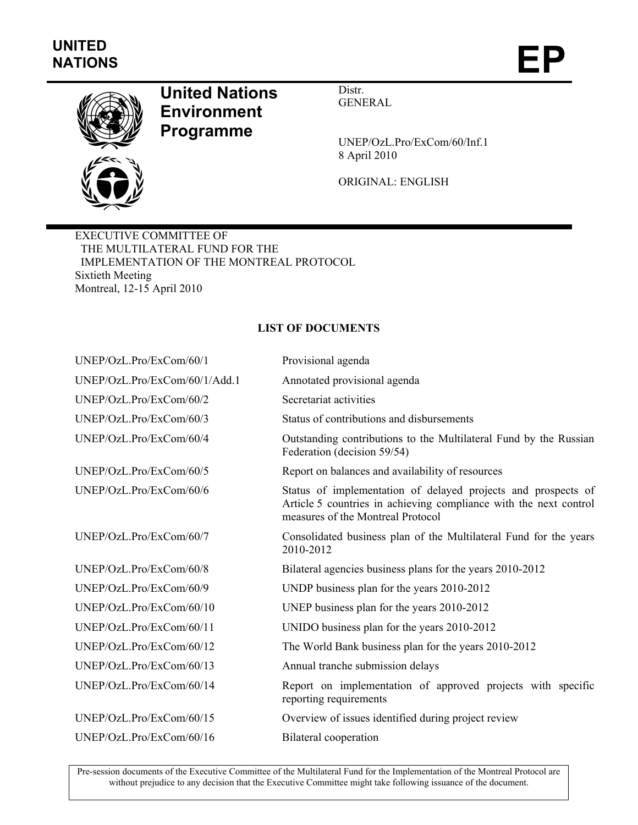

## **United Nations Environment Programme**

Distr. GENERAL

UNEP/OzL.Pro/ExCom/60/Inf.1 8 April 2010

ORIGINAL: ENGLISH

EXECUTIVE COMMITTEE OF THE MULTILATERAL FUND FOR THE IMPLEMENTATION OF THE MONTREAL PROTOCOL Sixtieth Meeting Montreal, 12-15 April 2010

## **LIST OF DOCUMENTS**

| UNEP/OzL.Pro/ExCom/60/1       | Provisional agenda                                                                                                                                                      |
|-------------------------------|-------------------------------------------------------------------------------------------------------------------------------------------------------------------------|
| UNEP/OzL.Pro/ExCom/60/1/Add.1 | Annotated provisional agenda                                                                                                                                            |
| UNEP/OzL.Pro/ExCom/60/2       | Secretariat activities                                                                                                                                                  |
| UNEP/OzL.Pro/ExCom/60/3       | Status of contributions and disbursements                                                                                                                               |
| UNEP/OzL.Pro/ExCom/60/4       | Outstanding contributions to the Multilateral Fund by the Russian<br>Federation (decision 59/54)                                                                        |
| UNEP/OzL.Pro/ExCom/60/5       | Report on balances and availability of resources                                                                                                                        |
| UNEP/OzL.Pro/ExCom/60/6       | Status of implementation of delayed projects and prospects of<br>Article 5 countries in achieving compliance with the next control<br>measures of the Montreal Protocol |
| UNEP/OzL.Pro/ExCom/60/7       | Consolidated business plan of the Multilateral Fund for the years<br>2010-2012                                                                                          |
| UNEP/OzL.Pro/ExCom/60/8       | Bilateral agencies business plans for the years 2010-2012                                                                                                               |
| UNEP/OzL.Pro/ExCom/60/9       | UNDP business plan for the years 2010-2012                                                                                                                              |
| UNEP/OzL.Pro/ExCom/60/10      | UNEP business plan for the years 2010-2012                                                                                                                              |
| UNEP/OzL.Pro/ExCom/60/11      | UNIDO business plan for the years 2010-2012                                                                                                                             |
| UNEP/OzL.Pro/ExCom/60/12      | The World Bank business plan for the years 2010-2012                                                                                                                    |
| UNEP/OzL.Pro/ExCom/60/13      | Annual tranche submission delays                                                                                                                                        |
| UNEP/OzL.Pro/ExCom/60/14      | Report on implementation of approved projects with specific<br>reporting requirements                                                                                   |
| UNEP/OzL.Pro/ExCom/60/15      | Overview of issues identified during project review                                                                                                                     |
| UNEP/OzL.Pro/ExCom/60/16      | <b>Bilateral</b> cooperation                                                                                                                                            |

Pre-session documents of the Executive Committee of the Multilateral Fund for the Implementation of the Montreal Protocol are without prejudice to any decision that the Executive Committee might take following issuance of the document.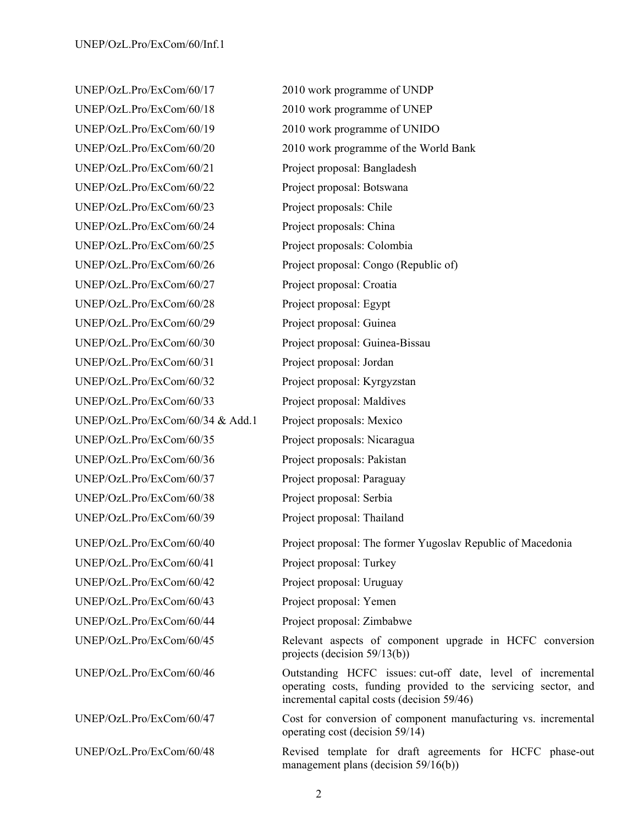UNEP/OzL.Pro/ExCom/60/21 Project proposal: Bangladesh UNEP/OzL.Pro/ExCom/60/22 Project proposal: Botswana UNEP/OzL.Pro/ExCom/60/23 Project proposals: Chile UNEP/OzL.Pro/ExCom/60/24 Project proposals: China UNEP/OzL.Pro/ExCom/60/25 Project proposals: Colombia UNEP/OzL.Pro/ExCom/60/27 Project proposal: Croatia UNEP/OzL.Pro/ExCom/60/28 Project proposal: Egypt UNEP/OzL.Pro/ExCom/60/29 Project proposal: Guinea UNEP/OzL.Pro/ExCom/60/31 Project proposal: Jordan UNEP/OzL.Pro/ExCom/60/32 Project proposal: Kyrgyzstan UNEP/OzL.Pro/ExCom/60/33 Project proposal: Maldives UNEP/OzL.Pro/ExCom/60/34 & Add.1 Project proposals: Mexico UNEP/OzL.Pro/ExCom/60/35 Project proposals: Nicaragua UNEP/OzL.Pro/ExCom/60/36 Project proposals: Pakistan UNEP/OzL.Pro/ExCom/60/37 Project proposal: Paraguay UNEP/OzL.Pro/ExCom/60/38 Project proposal: Serbia UNEP/OzL.Pro/ExCom/60/39 Project proposal: Thailand UNEP/OzL.Pro/ExCom/60/41 Project proposal: Turkey UNEP/OzL.Pro/ExCom/60/42 Project proposal: Uruguay UNEP/OzL.Pro/ExCom/60/43 Project proposal: Yemen UNEP/OzL.Pro/ExCom/60/44 Project proposal: Zimbabwe

UNEP/OzL.Pro/ExCom/60/17 2010 work programme of UNDP UNEP/OzL.Pro/ExCom/60/18 2010 work programme of UNEP UNEP/OzL.Pro/ExCom/60/19 2010 work programme of UNIDO UNEP/OzL.Pro/ExCom/60/20 2010 work programme of the World Bank UNEP/OzL.Pro/ExCom/60/26 Project proposal: Congo (Republic of) UNEP/OzL.Pro/ExCom/60/30 Project proposal: Guinea-Bissau UNEP/OzL.Pro/ExCom/60/40 Project proposal: The former Yugoslav Republic of Macedonia UNEP/OzL.Pro/ExCom/60/45 Relevant aspects of component upgrade in HCFC conversion projects (decision 59/13(b)) UNEP/OzL.Pro/ExCom/60/46 Outstanding HCFC issues: cut-off date, level of incremental operating costs, funding provided to the servicing sector, and incremental capital costs (decision 59/46) UNEP/OzL.Pro/ExCom/60/47 Cost for conversion of component manufacturing vs. incremental operating cost (decision 59/14) UNEP/OzL.Pro/ExCom/60/48 Revised template for draft agreements for HCFC phase-out management plans (decision 59/16(b))